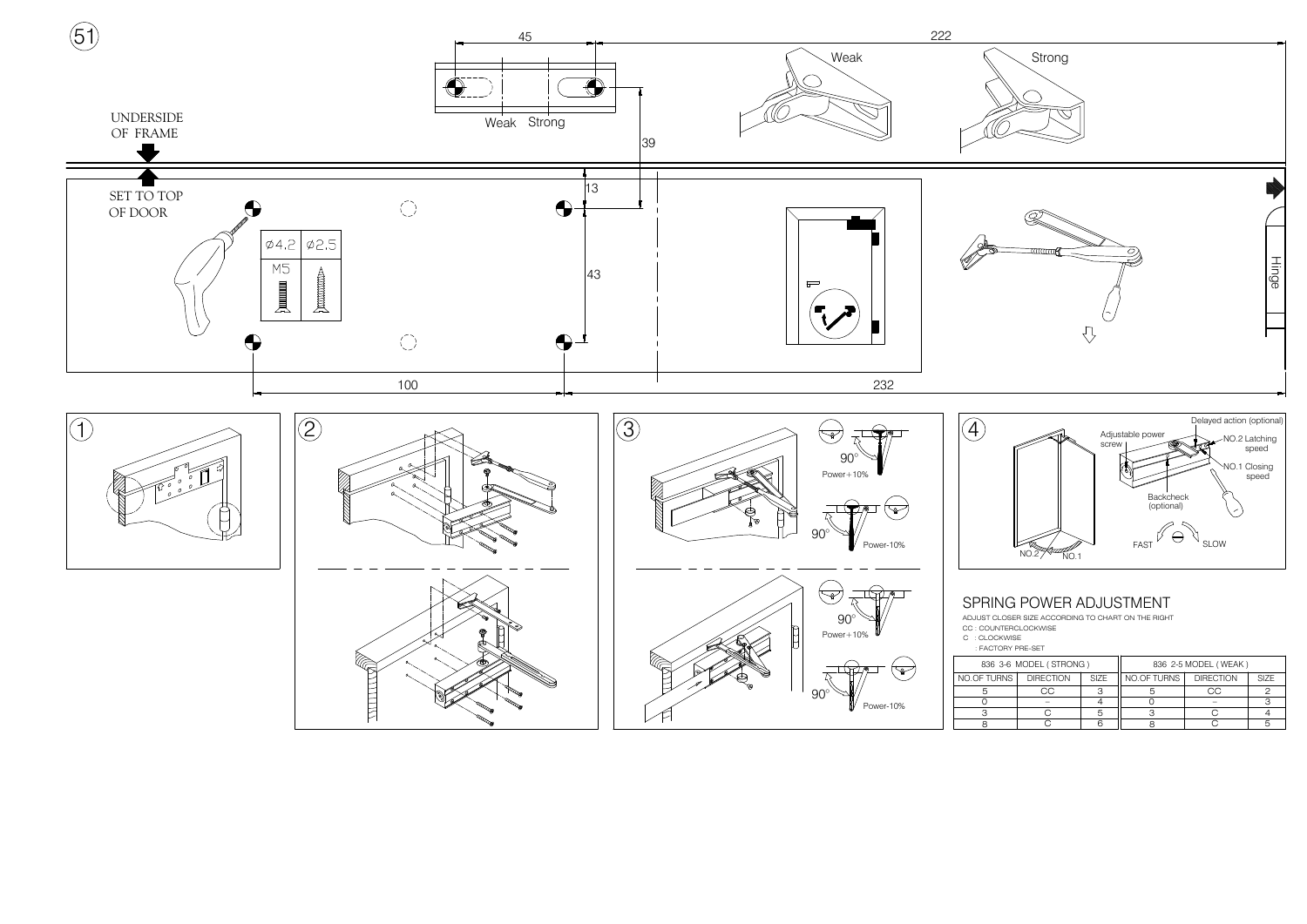

| 36 3-6 MODEL (STRONG) |                  |             | 836 2-5 MODEL (WEAK) |                  |             |
|-----------------------|------------------|-------------|----------------------|------------------|-------------|
| TURNS                 | <b>DIRECTION</b> | <b>SIZE</b> | NO.OF TURNS          | <b>DIRECTION</b> | <b>SIZE</b> |
|                       | 70               |             |                      | C                |             |
|                       |                  |             |                      |                  |             |
|                       |                  |             |                      |                  |             |
|                       |                  |             |                      |                  |             |